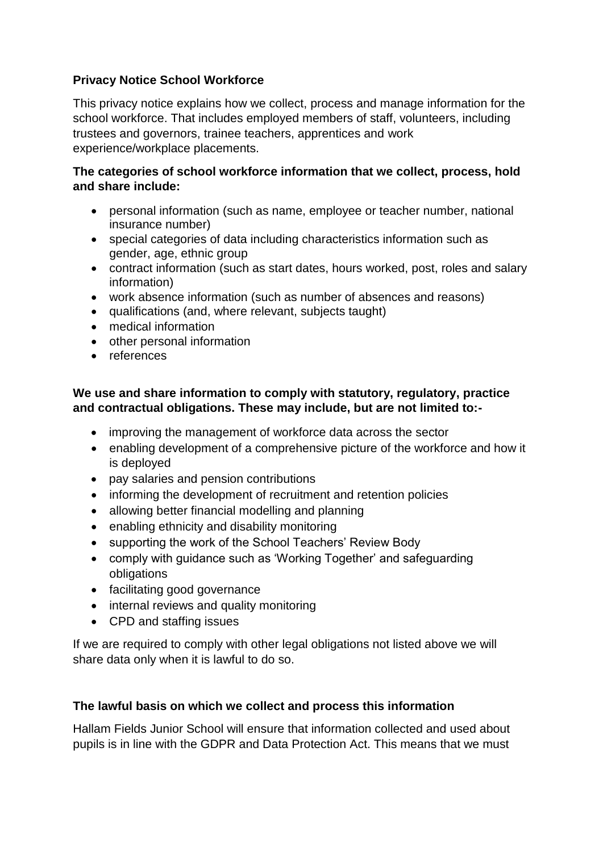# **Privacy Notice School Workforce**

This privacy notice explains how we collect, process and manage information for the school workforce. That includes employed members of staff, volunteers, including trustees and governors, trainee teachers, apprentices and work experience/workplace placements.

### **The categories of school workforce information that we collect, process, hold and share include:**

- personal information (such as name, employee or teacher number, national insurance number)
- special categories of data including characteristics information such as gender, age, ethnic group
- contract information (such as start dates, hours worked, post, roles and salary information)
- work absence information (such as number of absences and reasons)
- qualifications (and, where relevant, subjects taught)
- medical information
- other personal information
- references

## **We use and share information to comply with statutory, regulatory, practice and contractual obligations. These may include, but are not limited to:-**

- improving the management of workforce data across the sector
- enabling development of a comprehensive picture of the workforce and how it is deployed
- pay salaries and pension contributions
- informing the development of recruitment and retention policies
- allowing better financial modelling and planning
- enabling ethnicity and disability monitoring
- supporting the work of the School Teachers' Review Body
- comply with guidance such as 'Working Together' and safeguarding obligations
- facilitating good governance
- internal reviews and quality monitoring
- CPD and staffing issues

If we are required to comply with other legal obligations not listed above we will share data only when it is lawful to do so.

## **The lawful basis on which we collect and process this information**

Hallam Fields Junior School will ensure that information collected and used about pupils is in line with the GDPR and Data Protection Act. This means that we must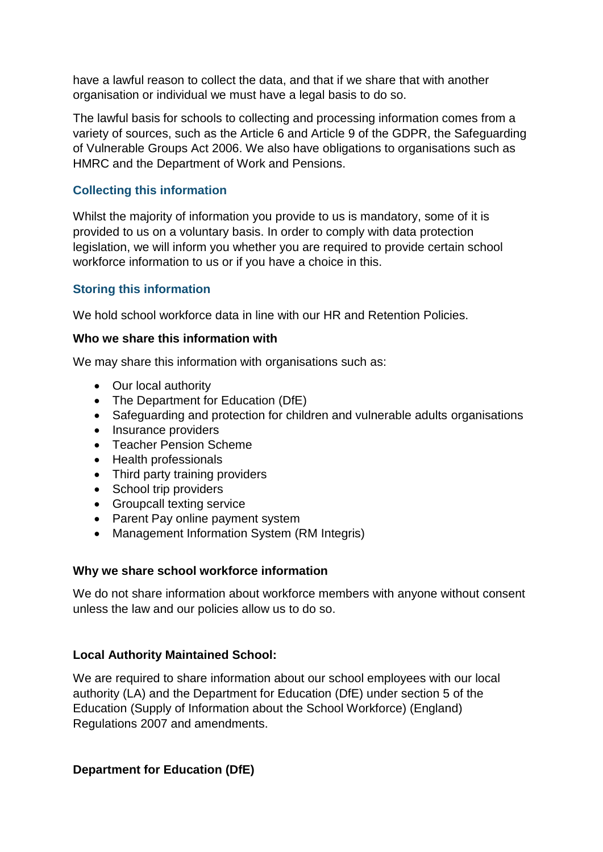have a lawful reason to collect the data, and that if we share that with another organisation or individual we must have a legal basis to do so.

The lawful basis for schools to collecting and processing information comes from a variety of sources, such as the Article 6 and Article 9 of the GDPR, the Safeguarding of Vulnerable Groups Act 2006. We also have obligations to organisations such as HMRC and the Department of Work and Pensions.

## **Collecting this information**

Whilst the majority of information you provide to us is mandatory, some of it is provided to us on a voluntary basis. In order to comply with data protection legislation, we will inform you whether you are required to provide certain school workforce information to us or if you have a choice in this.

# **Storing this information**

We hold school workforce data in line with our HR and Retention Policies.

### **Who we share this information with**

We may share this information with organisations such as:

- Our local authority
- The Department for Education (DfE)
- Safeguarding and protection for children and vulnerable adults organisations
- Insurance providers
- Teacher Pension Scheme
- Health professionals
- Third party training providers
- School trip providers
- Groupcall texting service
- Parent Pay online payment system
- Management Information System (RM Integris)

#### **Why we share school workforce information**

We do not share information about workforce members with anyone without consent unless the law and our policies allow us to do so.

## **Local Authority Maintained School:**

We are required to share information about our school employees with our local authority (LA) and the Department for Education (DfE) under section 5 of the Education (Supply of Information about the School Workforce) (England) Regulations 2007 and amendments.

## **Department for Education (DfE)**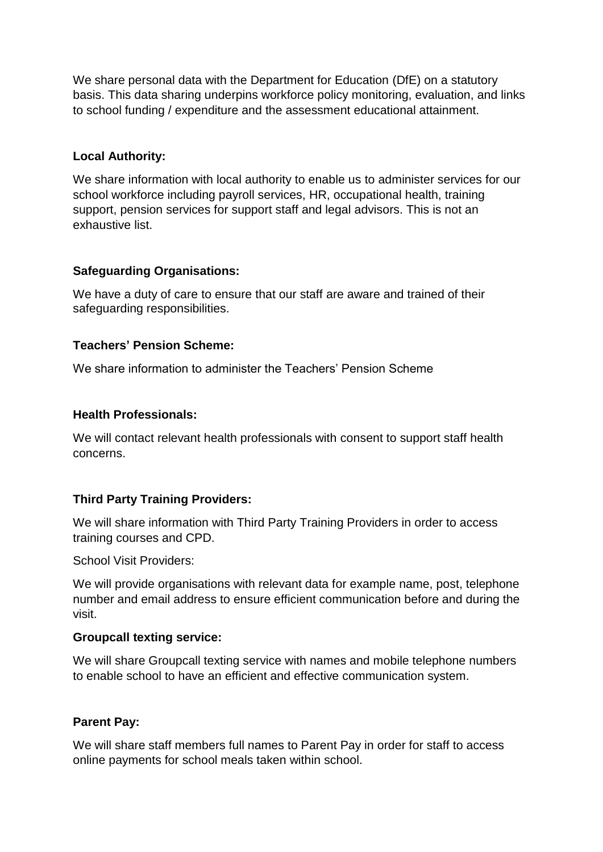We share personal data with the Department for Education (DfE) on a statutory basis. This data sharing underpins workforce policy monitoring, evaluation, and links to school funding / expenditure and the assessment educational attainment.

### **Local Authority:**

We share information with local authority to enable us to administer services for our school workforce including payroll services, HR, occupational health, training support, pension services for support staff and legal advisors. This is not an exhaustive list.

#### **Safeguarding Organisations:**

We have a duty of care to ensure that our staff are aware and trained of their safeguarding responsibilities.

### **Teachers' Pension Scheme:**

We share information to administer the Teachers' Pension Scheme

### **Health Professionals:**

We will contact relevant health professionals with consent to support staff health concerns.

## **Third Party Training Providers:**

We will share information with Third Party Training Providers in order to access training courses and CPD.

School Visit Providers:

We will provide organisations with relevant data for example name, post, telephone number and email address to ensure efficient communication before and during the visit.

#### **Groupcall texting service:**

We will share Groupcall texting service with names and mobile telephone numbers to enable school to have an efficient and effective communication system.

## **Parent Pay:**

We will share staff members full names to Parent Pay in order for staff to access online payments for school meals taken within school.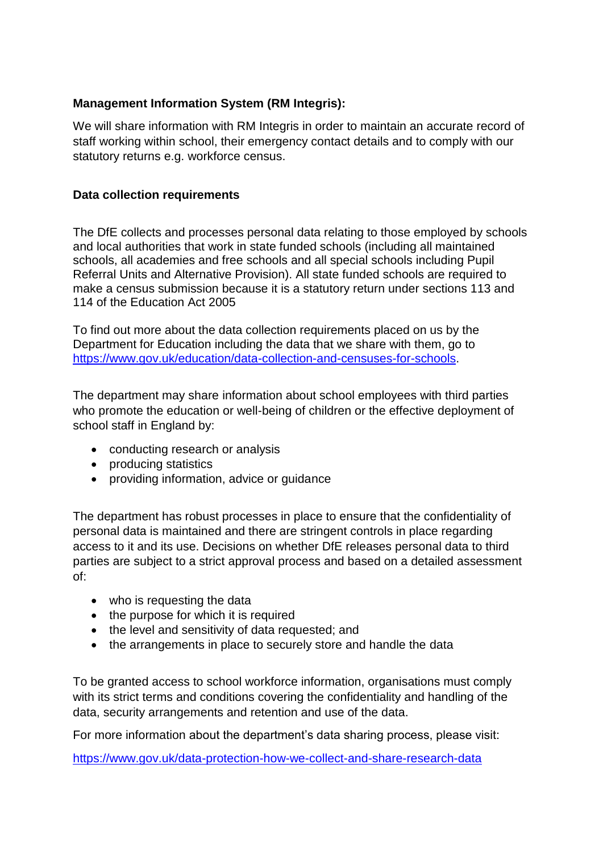## **Management Information System (RM Integris):**

We will share information with RM Integris in order to maintain an accurate record of staff working within school, their emergency contact details and to comply with our statutory returns e.g. workforce census.

## **Data collection requirements**

The DfE collects and processes personal data relating to those employed by schools and local authorities that work in state funded schools (including all maintained schools, all academies and free schools and all special schools including Pupil Referral Units and Alternative Provision). All state funded schools are required to make a census submission because it is a statutory return under sections 113 and 114 of the Education Act 2005

To find out more about the data collection requirements placed on us by the Department for Education including the data that we share with them, go to [https://www.gov.uk/education/data-collection-and-censuses-for-schools.](https://www.gov.uk/education/data-collection-and-censuses-for-schools)

The department may share information about school employees with third parties who promote the education or well-being of children or the effective deployment of school staff in England by:

- conducting research or analysis
- producing statistics
- providing information, advice or guidance

The department has robust processes in place to ensure that the confidentiality of personal data is maintained and there are stringent controls in place regarding access to it and its use. Decisions on whether DfE releases personal data to third parties are subject to a strict approval process and based on a detailed assessment of:

- who is requesting the data
- the purpose for which it is required
- the level and sensitivity of data requested; and
- the arrangements in place to securely store and handle the data

To be granted access to school workforce information, organisations must comply with its strict terms and conditions covering the confidentiality and handling of the data, security arrangements and retention and use of the data.

For more information about the department's data sharing process, please visit:

<https://www.gov.uk/data-protection-how-we-collect-and-share-research-data>